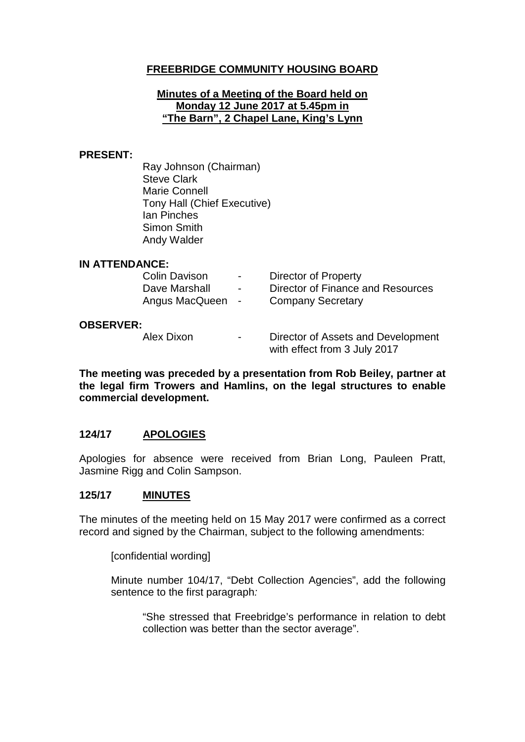# **FREEBRIDGE COMMUNITY HOUSING BOARD**

#### **Minutes of a Meeting of the Board held on Monday 12 June 2017 at 5.45pm in "The Barn", 2 Chapel Lane, King's Lynn**

#### **PRESENT:**

Ray Johnson (Chairman) Steve Clark Marie Connell Tony Hall (Chief Executive) Ian Pinches Simon Smith Andy Walder

#### **IN ATTENDANCE:**

| <b>Colin Davison</b> | $\sim 100$       | Director of Property              |
|----------------------|------------------|-----------------------------------|
| Dave Marshall        | $\sim$ 100 $\mu$ | Director of Finance and Resources |
| Angus MacQueen -     |                  | <b>Company Secretary</b>          |
| ≀VFR∙                |                  |                                   |

#### **OBSER**

Alex Dixon - Director of Assets and Development with effect from 3 July 2017

**The meeting was preceded by a presentation from Rob Beiley, partner at the legal firm Trowers and Hamlins, on the legal structures to enable commercial development.** 

#### **124/17 APOLOGIES**

Apologies for absence were received from Brian Long, Pauleen Pratt, Jasmine Rigg and Colin Sampson.

#### **125/17 MINUTES**

The minutes of the meeting held on 15 May 2017 were confirmed as a correct record and signed by the Chairman, subject to the following amendments:

[confidential wording]

Minute number 104/17, "Debt Collection Agencies", add the following sentence to the first paragraph*:*

"She stressed that Freebridge's performance in relation to debt collection was better than the sector average".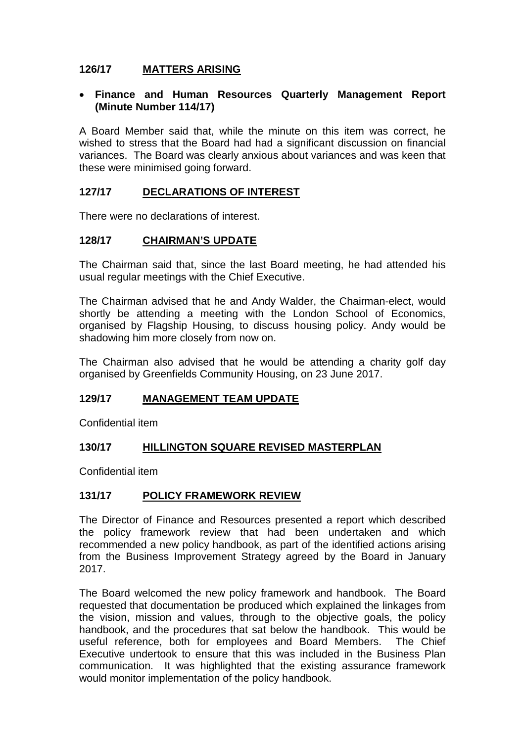# **126/17 MATTERS ARISING**

#### • **Finance and Human Resources Quarterly Management Report (Minute Number 114/17)**

A Board Member said that, while the minute on this item was correct, he wished to stress that the Board had had a significant discussion on financial variances. The Board was clearly anxious about variances and was keen that these were minimised going forward.

## **127/17 DECLARATIONS OF INTEREST**

There were no declarations of interest.

#### **128/17 CHAIRMAN'S UPDATE**

The Chairman said that, since the last Board meeting, he had attended his usual regular meetings with the Chief Executive.

The Chairman advised that he and Andy Walder, the Chairman-elect, would shortly be attending a meeting with the London School of Economics, organised by Flagship Housing, to discuss housing policy. Andy would be shadowing him more closely from now on.

The Chairman also advised that he would be attending a charity golf day organised by Greenfields Community Housing, on 23 June 2017.

## **129/17 MANAGEMENT TEAM UPDATE**

Confidential item

## **130/17 HILLINGTON SQUARE REVISED MASTERPLAN**

Confidential item

## **131/17 POLICY FRAMEWORK REVIEW**

The Director of Finance and Resources presented a report which described the policy framework review that had been undertaken and which recommended a new policy handbook, as part of the identified actions arising from the Business Improvement Strategy agreed by the Board in January 2017.

The Board welcomed the new policy framework and handbook. The Board requested that documentation be produced which explained the linkages from the vision, mission and values, through to the objective goals, the policy handbook, and the procedures that sat below the handbook. This would be useful reference, both for employees and Board Members. The Chief Executive undertook to ensure that this was included in the Business Plan communication. It was highlighted that the existing assurance framework would monitor implementation of the policy handbook.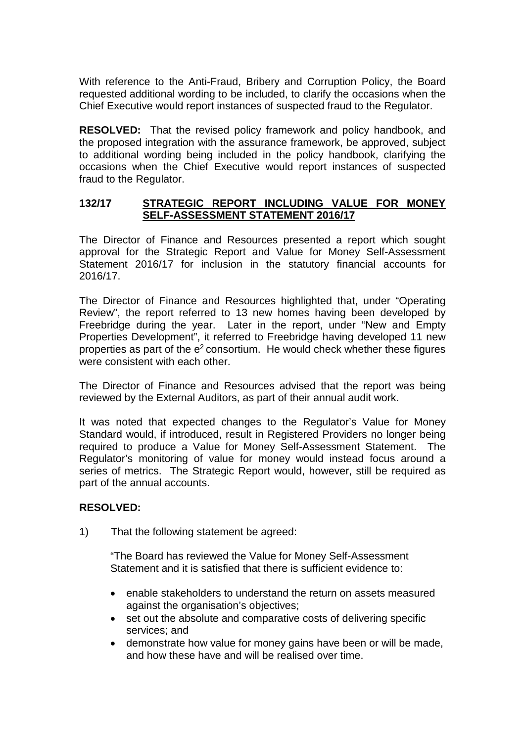With reference to the Anti-Fraud, Bribery and Corruption Policy, the Board requested additional wording to be included, to clarify the occasions when the Chief Executive would report instances of suspected fraud to the Regulator.

**RESOLVED:** That the revised policy framework and policy handbook, and the proposed integration with the assurance framework, be approved, subject to additional wording being included in the policy handbook, clarifying the occasions when the Chief Executive would report instances of suspected fraud to the Regulator.

## **132/17 STRATEGIC REPORT INCLUDING VALUE FOR MONEY SELF-ASSESSMENT STATEMENT 2016/17**

The Director of Finance and Resources presented a report which sought approval for the Strategic Report and Value for Money Self-Assessment Statement 2016/17 for inclusion in the statutory financial accounts for 2016/17.

The Director of Finance and Resources highlighted that, under "Operating Review", the report referred to 13 new homes having been developed by Freebridge during the year. Later in the report, under "New and Empty Properties Development", it referred to Freebridge having developed 11 new properties as part of the  $e^2$  consortium. He would check whether these figures were consistent with each other.

The Director of Finance and Resources advised that the report was being reviewed by the External Auditors, as part of their annual audit work.

It was noted that expected changes to the Regulator's Value for Money Standard would, if introduced, result in Registered Providers no longer being required to produce a Value for Money Self-Assessment Statement. The Regulator's monitoring of value for money would instead focus around a series of metrics. The Strategic Report would, however, still be required as part of the annual accounts.

# **RESOLVED:**

1) That the following statement be agreed:

"The Board has reviewed the Value for Money Self-Assessment Statement and it is satisfied that there is sufficient evidence to:

- enable stakeholders to understand the return on assets measured against the organisation's objectives;
- set out the absolute and comparative costs of delivering specific services; and
- demonstrate how value for money gains have been or will be made, and how these have and will be realised over time.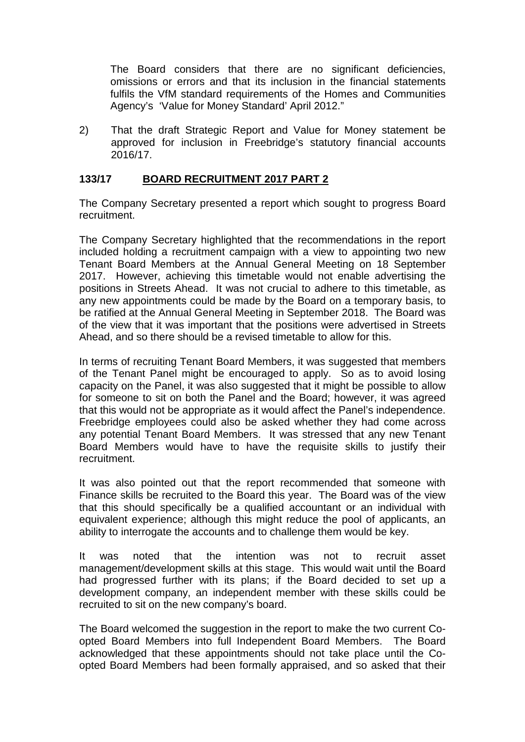The Board considers that there are no significant deficiencies, omissions or errors and that its inclusion in the financial statements fulfils the VfM standard requirements of the Homes and Communities Agency's 'Value for Money Standard' April 2012."

2) That the draft Strategic Report and Value for Money statement be approved for inclusion in Freebridge's statutory financial accounts 2016/17.

## **133/17 BOARD RECRUITMENT 2017 PART 2**

The Company Secretary presented a report which sought to progress Board recruitment.

The Company Secretary highlighted that the recommendations in the report included holding a recruitment campaign with a view to appointing two new Tenant Board Members at the Annual General Meeting on 18 September 2017. However, achieving this timetable would not enable advertising the positions in Streets Ahead. It was not crucial to adhere to this timetable, as any new appointments could be made by the Board on a temporary basis, to be ratified at the Annual General Meeting in September 2018. The Board was of the view that it was important that the positions were advertised in Streets Ahead, and so there should be a revised timetable to allow for this.

In terms of recruiting Tenant Board Members, it was suggested that members of the Tenant Panel might be encouraged to apply. So as to avoid losing capacity on the Panel, it was also suggested that it might be possible to allow for someone to sit on both the Panel and the Board; however, it was agreed that this would not be appropriate as it would affect the Panel's independence. Freebridge employees could also be asked whether they had come across any potential Tenant Board Members. It was stressed that any new Tenant Board Members would have to have the requisite skills to justify their recruitment.

It was also pointed out that the report recommended that someone with Finance skills be recruited to the Board this year. The Board was of the view that this should specifically be a qualified accountant or an individual with equivalent experience; although this might reduce the pool of applicants, an ability to interrogate the accounts and to challenge them would be key.

It was noted that the intention was not to recruit asset management/development skills at this stage. This would wait until the Board had progressed further with its plans; if the Board decided to set up a development company, an independent member with these skills could be recruited to sit on the new company's board.

The Board welcomed the suggestion in the report to make the two current Coopted Board Members into full Independent Board Members. The Board acknowledged that these appointments should not take place until the Coopted Board Members had been formally appraised, and so asked that their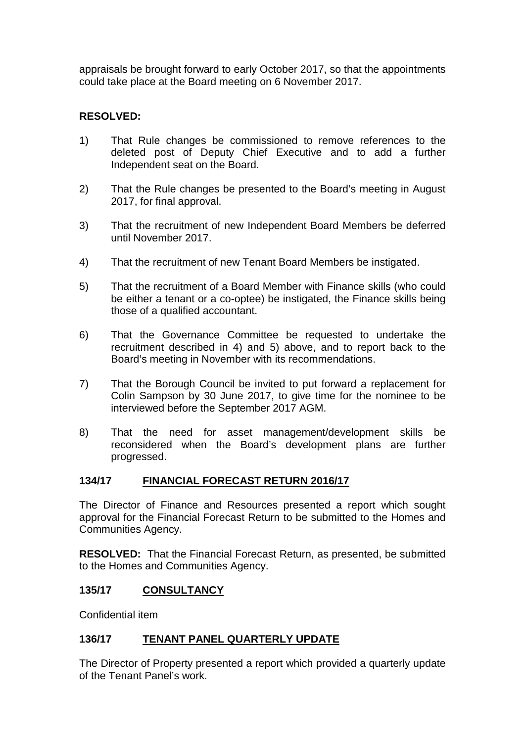appraisals be brought forward to early October 2017, so that the appointments could take place at the Board meeting on 6 November 2017.

# **RESOLVED:**

- 1) That Rule changes be commissioned to remove references to the deleted post of Deputy Chief Executive and to add a further Independent seat on the Board.
- 2) That the Rule changes be presented to the Board's meeting in August 2017, for final approval.
- 3) That the recruitment of new Independent Board Members be deferred until November 2017.
- 4) That the recruitment of new Tenant Board Members be instigated.
- 5) That the recruitment of a Board Member with Finance skills (who could be either a tenant or a co-optee) be instigated, the Finance skills being those of a qualified accountant.
- 6) That the Governance Committee be requested to undertake the recruitment described in 4) and 5) above, and to report back to the Board's meeting in November with its recommendations.
- 7) That the Borough Council be invited to put forward a replacement for Colin Sampson by 30 June 2017, to give time for the nominee to be interviewed before the September 2017 AGM.
- 8) That the need for asset management/development skills be reconsidered when the Board's development plans are further progressed.

## **134/17 FINANCIAL FORECAST RETURN 2016/17**

The Director of Finance and Resources presented a report which sought approval for the Financial Forecast Return to be submitted to the Homes and Communities Agency.

**RESOLVED:** That the Financial Forecast Return, as presented, be submitted to the Homes and Communities Agency.

## **135/17 CONSULTANCY**

Confidential item

# **136/17 TENANT PANEL QUARTERLY UPDATE**

The Director of Property presented a report which provided a quarterly update of the Tenant Panel's work.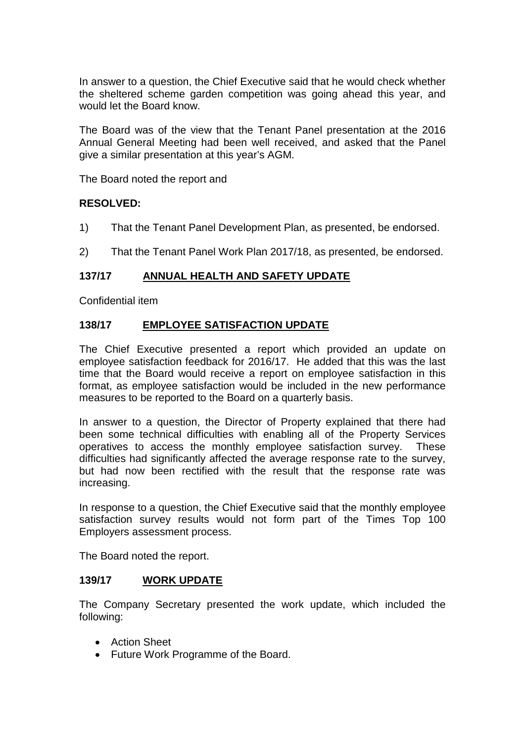In answer to a question, the Chief Executive said that he would check whether the sheltered scheme garden competition was going ahead this year, and would let the Board know.

The Board was of the view that the Tenant Panel presentation at the 2016 Annual General Meeting had been well received, and asked that the Panel give a similar presentation at this year's AGM.

The Board noted the report and

#### **RESOLVED:**

- 1) That the Tenant Panel Development Plan, as presented, be endorsed.
- 2) That the Tenant Panel Work Plan 2017/18, as presented, be endorsed.

#### **137/17 ANNUAL HEALTH AND SAFETY UPDATE**

Confidential item

#### **138/17 EMPLOYEE SATISFACTION UPDATE**

The Chief Executive presented a report which provided an update on employee satisfaction feedback for 2016/17. He added that this was the last time that the Board would receive a report on employee satisfaction in this format, as employee satisfaction would be included in the new performance measures to be reported to the Board on a quarterly basis.

In answer to a question, the Director of Property explained that there had been some technical difficulties with enabling all of the Property Services operatives to access the monthly employee satisfaction survey. These difficulties had significantly affected the average response rate to the survey, but had now been rectified with the result that the response rate was increasing.

In response to a question, the Chief Executive said that the monthly employee satisfaction survey results would not form part of the Times Top 100 Employers assessment process.

The Board noted the report.

#### **139/17 WORK UPDATE**

The Company Secretary presented the work update, which included the following:

- Action Sheet
- Future Work Programme of the Board.